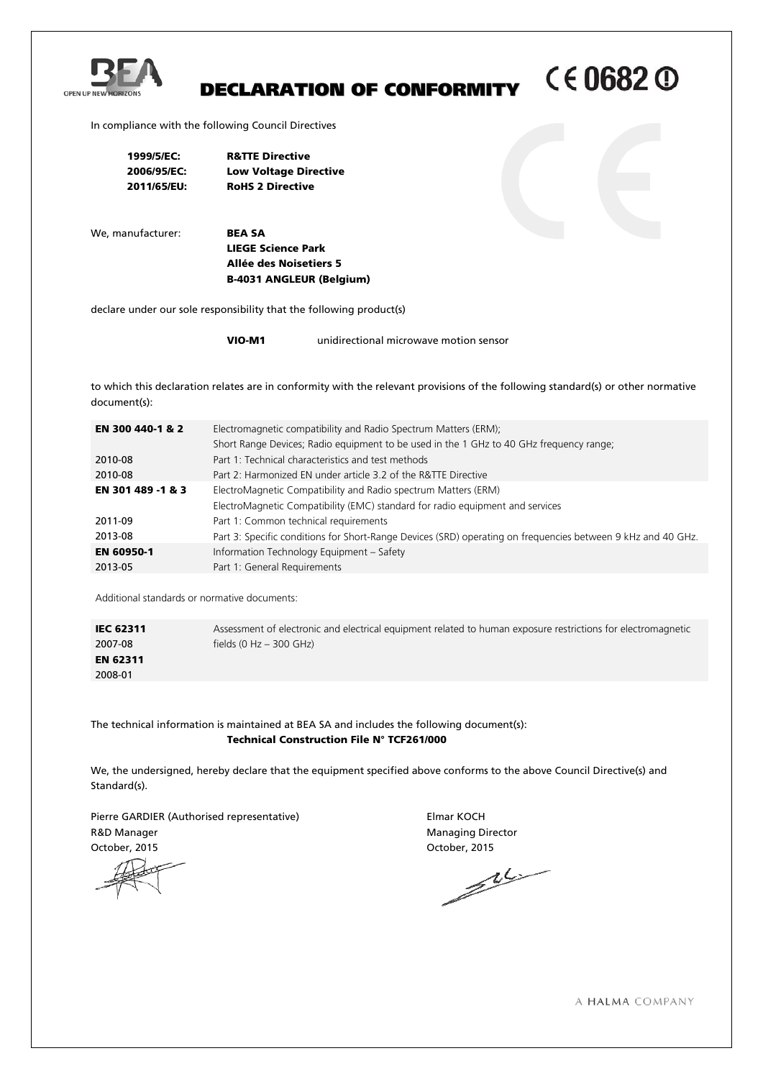

# CE0682 <sup>O</sup> DECLARATION OF CONFORMITY

In compliance with the following Council Directives

| 1999/5/EC:  | <b>R&amp;TTE Directive</b>   |
|-------------|------------------------------|
| 2006/95/EC: | <b>Low Voltage Directive</b> |
| 2011/65/EU: | <b>RoHS 2 Directive</b>      |

We, manufacturer: **BEA SA** 

LIEGE Science Park Allée des Noisetiers 5 B-4031 ANGLEUR (Belgium)

declare under our sole responsibility that the following product(s)

VIO-M1 unidirectional microwave motion sensor

to which this declaration relates are in conformity with the relevant provisions of the following standard(s) or other normative document(s):

| EN 300 440-1 & 2  | Electromagnetic compatibility and Radio Spectrum Matters (ERM);                                              |  |  |  |
|-------------------|--------------------------------------------------------------------------------------------------------------|--|--|--|
|                   | Short Range Devices; Radio equipment to be used in the 1 GHz to 40 GHz frequency range;                      |  |  |  |
| 2010-08           | Part 1: Technical characteristics and test methods                                                           |  |  |  |
| 2010-08           | Part 2: Harmonized EN under article 3.2 of the R&TTE Directive                                               |  |  |  |
| EN 301 489 -1 & 3 | ElectroMagnetic Compatibility and Radio spectrum Matters (ERM)                                               |  |  |  |
|                   | ElectroMagnetic Compatibility (EMC) standard for radio equipment and services                                |  |  |  |
| 2011-09           | Part 1: Common technical requirements                                                                        |  |  |  |
| 2013-08           | Part 3: Specific conditions for Short-Range Devices (SRD) operating on frequencies between 9 kHz and 40 GHz. |  |  |  |
| EN 60950-1        | Information Technology Equipment - Safety                                                                    |  |  |  |
| 2013-05           | Part 1: General Requirements                                                                                 |  |  |  |
|                   |                                                                                                              |  |  |  |

Additional standards or normative documents:

| <b>IEC 62311</b> | Assessment of electronic and electrical equipment related to human exposure restrictions for electromagnetic |
|------------------|--------------------------------------------------------------------------------------------------------------|
| 2007-08          | fields (0 Hz $-$ 300 GHz)                                                                                    |
| <b>EN 62311</b>  |                                                                                                              |
| 2008-01          |                                                                                                              |

The technical information is maintained at BEA SA and includes the following document(s): Technical Construction File N° TCF261/000

We, the undersigned, hereby declare that the equipment specified above conforms to the above Council Directive(s) and Standard(s).

Pierre GARDIER (Authorised representative) Finance Elmar KOCH R&D Manager Managing Director

October, 2015 October, 2015

A HALMA COMPANY